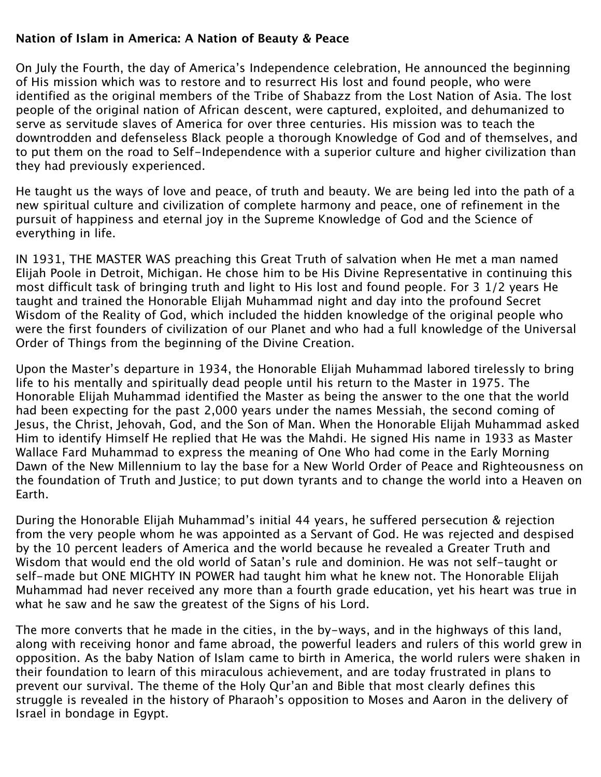## **Nation of Islam in America: A Nation of Beauty & Peace**

On July the Fourth, the day of America's Independence celebration, He announced the beginning of His mission which was to restore and to resurrect His lost and found people, who were identified as the original members of the Tribe of Shabazz from the Lost Nation of Asia. The lost people of the original nation of African descent, were captured, exploited, and dehumanized to serve as servitude slaves of America for over three centuries. His mission was to teach the downtrodden and defenseless Black people a thorough Knowledge of God and of themselves, and to put them on the road to Self-Independence with a superior culture and higher civilization than they had previously experienced.

He taught us the ways of love and peace, of truth and beauty. We are being led into the path of a new spiritual culture and civilization of complete harmony and peace, one of refinement in the pursuit of happiness and eternal joy in the Supreme Knowledge of God and the Science of everything in life.

IN 1931, THE MASTER WAS preaching this Great Truth of salvation when He met a man named Elijah Poole in Detroit, Michigan. He chose him to be His Divine Representative in continuing this most difficult task of bringing truth and light to His lost and found people. For 3 1/2 years He taught and trained the Honorable Elijah Muhammad night and day into the profound Secret Wisdom of the Reality of God, which included the hidden knowledge of the original people who were the first founders of civilization of our Planet and who had a full knowledge of the Universal Order of Things from the beginning of the Divine Creation.

Upon the Master's departure in 1934, the Honorable Elijah Muhammad labored tirelessly to bring life to his mentally and spiritually dead people until his return to the Master in 1975. The Honorable Elijah Muhammad identified the Master as being the answer to the one that the world had been expecting for the past 2,000 years under the names Messiah, the second coming of Jesus, the Christ, Jehovah, God, and the Son of Man. When the Honorable Elijah Muhammad asked Him to identify Himself He replied that He was the Mahdi. He signed His name in 1933 as Master Wallace Fard Muhammad to express the meaning of One Who had come in the Early Morning Dawn of the New Millennium to lay the base for a New World Order of Peace and Righteousness on the foundation of Truth and Justice; to put down tyrants and to change the world into a Heaven on Earth.

During the Honorable Elijah Muhammad's initial 44 years, he suffered persecution & rejection from the very people whom he was appointed as a Servant of God. He was rejected and despised by the 10 percent leaders of America and the world because he revealed a Greater Truth and Wisdom that would end the old world of Satan's rule and dominion. He was not self-taught or self-made but ONE MIGHTY IN POWER had taught him what he knew not. The Honorable Elijah Muhammad had never received any more than a fourth grade education, yet his heart was true in what he saw and he saw the greatest of the Signs of his Lord.

The more converts that he made in the cities, in the by-ways, and in the highways of this land, along with receiving honor and fame abroad, the powerful leaders and rulers of this world grew in opposition. As the baby Nation of Islam came to birth in America, the world rulers were shaken in their foundation to learn of this miraculous achievement, and are today frustrated in plans to prevent our survival. The theme of the Holy Qur'an and Bible that most clearly defines this struggle is revealed in the history of Pharaoh's opposition to Moses and Aaron in the delivery of Israel in bondage in Egypt.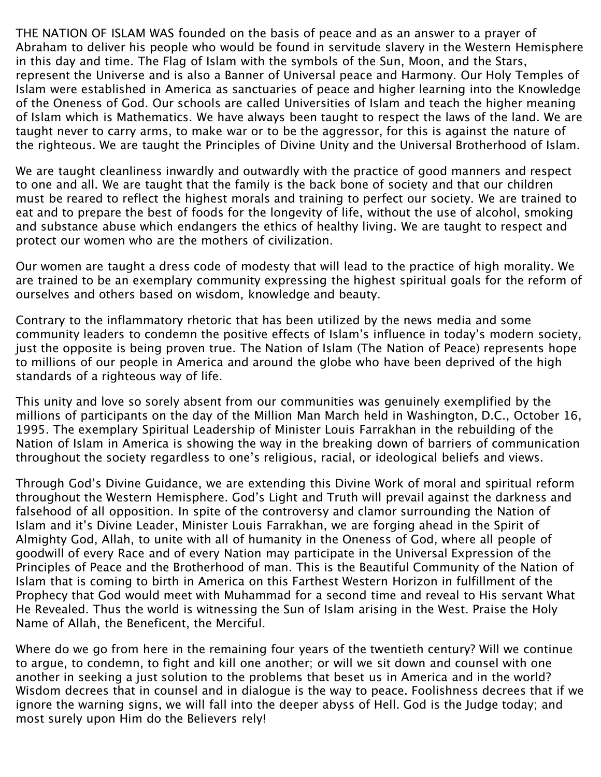THE NATION OF ISLAM WAS founded on the basis of peace and as an answer to a prayer of Abraham to deliver his people who would be found in servitude slavery in the Western Hemisphere in this day and time. The Flag of Islam with the symbols of the Sun, Moon, and the Stars, represent the Universe and is also a Banner of Universal peace and Harmony. Our Holy Temples of Islam were established in America as sanctuaries of peace and higher learning into the Knowledge of the Oneness of God. Our schools are called Universities of Islam and teach the higher meaning of Islam which is Mathematics. We have always been taught to respect the laws of the land. We are taught never to carry arms, to make war or to be the aggressor, for this is against the nature of the righteous. We are taught the Principles of Divine Unity and the Universal Brotherhood of Islam.

We are taught cleanliness inwardly and outwardly with the practice of good manners and respect to one and all. We are taught that the family is the back bone of society and that our children must be reared to reflect the highest morals and training to perfect our society. We are trained to eat and to prepare the best of foods for the longevity of life, without the use of alcohol, smoking and substance abuse which endangers the ethics of healthy living. We are taught to respect and protect our women who are the mothers of civilization.

Our women are taught a dress code of modesty that will lead to the practice of high morality. We are trained to be an exemplary community expressing the highest spiritual goals for the reform of ourselves and others based on wisdom, knowledge and beauty.

Contrary to the inflammatory rhetoric that has been utilized by the news media and some community leaders to condemn the positive effects of Islam's influence in today's modern society, just the opposite is being proven true. The Nation of Islam (The Nation of Peace) represents hope to millions of our people in America and around the globe who have been deprived of the high standards of a righteous way of life.

This unity and love so sorely absent from our communities was genuinely exemplified by the millions of participants on the day of the Million Man March held in Washington, D.C., October 16, 1995. The exemplary Spiritual Leadership of Minister Louis Farrakhan in the rebuilding of the Nation of Islam in America is showing the way in the breaking down of barriers of communication throughout the society regardless to one's religious, racial, or ideological beliefs and views.

Through God's Divine Guidance, we are extending this Divine Work of moral and spiritual reform throughout the Western Hemisphere. God's Light and Truth will prevail against the darkness and falsehood of all opposition. In spite of the controversy and clamor surrounding the Nation of Islam and it's Divine Leader, Minister Louis Farrakhan, we are forging ahead in the Spirit of Almighty God, Allah, to unite with all of humanity in the Oneness of God, where all people of goodwill of every Race and of every Nation may participate in the Universal Expression of the Principles of Peace and the Brotherhood of man. This is the Beautiful Community of the Nation of Islam that is coming to birth in America on this Farthest Western Horizon in fulfillment of the Prophecy that God would meet with Muhammad for a second time and reveal to His servant What He Revealed. Thus the world is witnessing the Sun of Islam arising in the West. Praise the Holy Name of Allah, the Beneficent, the Merciful.

Where do we go from here in the remaining four years of the twentieth century? Will we continue to argue, to condemn, to fight and kill one another; or will we sit down and counsel with one another in seeking a just solution to the problems that beset us in America and in the world? Wisdom decrees that in counsel and in dialogue is the way to peace. Foolishness decrees that if we ignore the warning signs, we will fall into the deeper abyss of Hell. God is the Judge today; and most surely upon Him do the Believers rely!